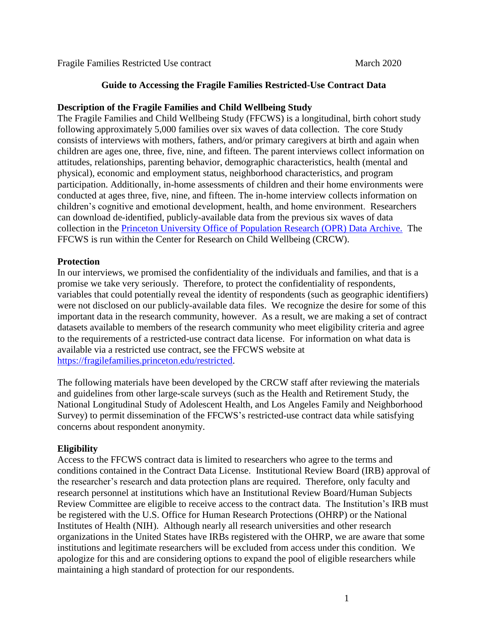Fragile Families Restricted Use contract March 2020

# **Guide to Accessing the Fragile Families Restricted-Use Contract Data**

# **Description of the Fragile Families and Child Wellbeing Study**

The Fragile Families and Child Wellbeing Study (FFCWS) is a longitudinal, birth cohort study following approximately 5,000 families over six waves of data collection. The core Study consists of interviews with mothers, fathers, and/or primary caregivers at birth and again when children are ages one, three, five, nine, and fifteen. The parent interviews collect information on attitudes, relationships, parenting behavior, demographic characteristics, health (mental and physical), economic and employment status, neighborhood characteristics, and program participation. Additionally, in-home assessments of children and their home environments were conducted at ages three, five, nine, and fifteen. The in-home interview collects information on children's cognitive and emotional development, health, and home environment. Researchers can download de-identified, publicly-available data from the previous six waves of data collection in the [Princeton University Office of Population Research \(OPR\) Data Archive.](https://opr.princeton.edu/archive) The FFCWS is run within the Center for Research on Child Wellbeing (CRCW).

# **Protection**

In our interviews, we promised the confidentiality of the individuals and families, and that is a promise we take very seriously. Therefore, to protect the confidentiality of respondents, variables that could potentially reveal the identity of respondents (such as geographic identifiers) were not disclosed on our publicly-available data files. We recognize the desire for some of this important data in the research community, however. As a result, we are making a set of contract datasets available to members of the research community who meet eligibility criteria and agree to the requirements of a restricted-use contract data license. For information on what data is available via a restricted use contract, see the FFCWS website at [https://fragilefamilies.princeton.edu/restricted.](https://fragilefamilies.princeton.edu/restricted)

The following materials have been developed by the CRCW staff after reviewing the materials and guidelines from other large-scale surveys (such as the Health and Retirement Study, the National Longitudinal Study of Adolescent Health, and Los Angeles Family and Neighborhood Survey) to permit dissemination of the FFCWS's restricted-use contract data while satisfying concerns about respondent anonymity.

## **Eligibility**

Access to the FFCWS contract data is limited to researchers who agree to the terms and conditions contained in the Contract Data License. Institutional Review Board (IRB) approval of the researcher's research and data protection plans are required. Therefore, only faculty and research personnel at institutions which have an Institutional Review Board/Human Subjects Review Committee are eligible to receive access to the contract data. The Institution's IRB must be registered with the U.S. Office for Human Research Protections (OHRP) or the National Institutes of Health (NIH). Although nearly all research universities and other research organizations in the United States have IRBs registered with the OHRP, we are aware that some institutions and legitimate researchers will be excluded from access under this condition. We apologize for this and are considering options to expand the pool of eligible researchers while maintaining a high standard of protection for our respondents.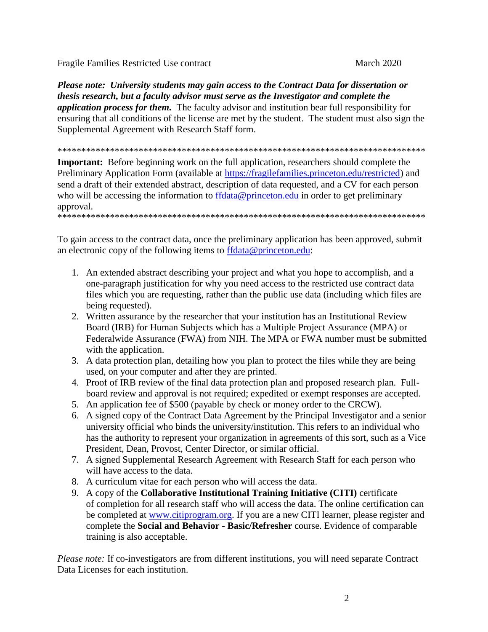Fragile Families Restricted Use contract March 2020

*Please note: University students may gain access to the Contract Data for dissertation or thesis research, but a faculty advisor must serve as the Investigator and complete the application process for them.* The faculty advisor and institution bear full responsibility for ensuring that all conditions of the license are met by the student. The student must also sign the Supplemental Agreement with Research Staff form.

\*\*\*\*\*\*\*\*\*\*\*\*\*\*\*\*\*\*\*\*\*\*\*\*\*\*\*\*\*\*\*\*\*\*\*\*\*\*\*\*\*\*\*\*\*\*\*\*\*\*\*\*\*\*\*\*\*\*\*\*\*\*\*\*\*\*\*\*\*\*\*\*\*\*\*\*\*

**Important:** Before beginning work on the full application, researchers should complete the Preliminary Application Form (available at [https://fragilefamilies.princeton.edu/restricted\)](https://fragilefamilies.princeton.edu/restricted) and send a draft of their extended abstract, description of data requested, and a CV for each person who will be accessing the information to [ffdata@princeton.edu](mailto:ffdata@princeton.edu) in order to get preliminary approval. \*\*\*\*\*\*\*\*\*\*\*\*\*\*\*\*\*\*\*\*\*\*\*\*\*\*\*\*\*\*\*\*\*\*\*\*\*\*\*\*\*\*\*\*\*\*\*\*\*\*\*\*\*\*\*\*\*\*\*\*\*\*\*\*\*\*\*\*\*\*\*\*\*\*\*\*\*

To gain access to the contract data, once the preliminary application has been approved, submit an electronic copy of the following items to [ffdata@princeton.edu:](mailto:ffdata@princeton.edu)

- 1. An extended abstract describing your project and what you hope to accomplish, and a one-paragraph justification for why you need access to the restricted use contract data files which you are requesting, rather than the public use data (including which files are being requested).
- 2. Written assurance by the researcher that your institution has an Institutional Review Board (IRB) for Human Subjects which has a Multiple Project Assurance (MPA) or Federalwide Assurance (FWA) from NIH. The MPA or FWA number must be submitted with the application.
- 3. A data protection plan, detailing how you plan to protect the files while they are being used, on your computer and after they are printed.
- 4. Proof of IRB review of the final data protection plan and proposed research plan. Fullboard review and approval is not required; expedited or exempt responses are accepted.
- 5. An application fee of \$500 (payable by check or money order to the CRCW).
- 6. A signed copy of the Contract Data Agreement by the Principal Investigator and a senior university official who binds the university/institution. This refers to an individual who has the authority to represent your organization in agreements of this sort, such as a Vice President, Dean, Provost, Center Director, or similar official.
- 7. A signed Supplemental Research Agreement with Research Staff for each person who will have access to the data.
- 8. A curriculum vitae for each person who will access the data.
- 9. A copy of the **Collaborative Institutional Training Initiative (CITI)** certificate of completion for all research staff who will access the data. The online certification can be completed at [www.citiprogram.org.](https://about.citiprogram.org/en/homepage/) If you are a new CITI learner, please register and complete the **Social and Behavior - Basic/Refresher** course. Evidence of comparable training is also acceptable.

*Please note:* If co-investigators are from different institutions, you will need separate Contract Data Licenses for each institution.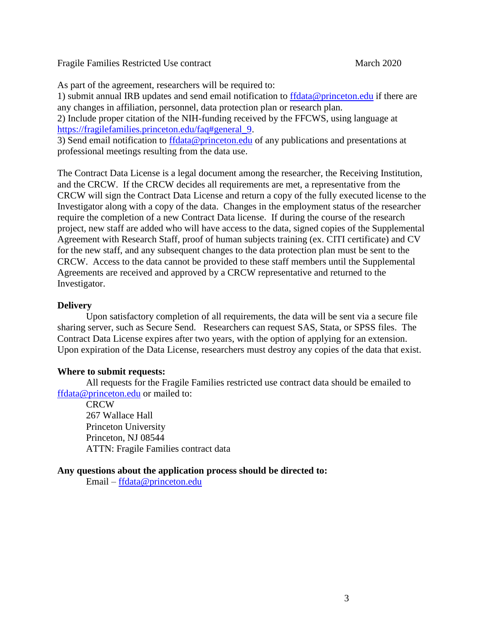Fragile Families Restricted Use contract March 2020

As part of the agreement, researchers will be required to:

1) submit annual IRB updates and send email notification to [ffdata@princeton.edu](mailto:ffdata@princeton.edu) if there are any changes in affiliation, personnel, data protection plan or research plan.

2) Include proper citation of the NIH-funding received by the FFCWS, using language at [https://fragilefamilies.princeton.edu/faq#general\\_9.](https://fragilefamilies.princeton.edu/faq#general_9)

3) Send email notification to [ffdata@princeton.edu](mailto:ffdata@princeton.edu) of any publications and presentations at professional meetings resulting from the data use.

The Contract Data License is a legal document among the researcher, the Receiving Institution, and the CRCW. If the CRCW decides all requirements are met, a representative from the CRCW will sign the Contract Data License and return a copy of the fully executed license to the Investigator along with a copy of the data. Changes in the employment status of the researcher require the completion of a new Contract Data license. If during the course of the research project, new staff are added who will have access to the data, signed copies of the Supplemental Agreement with Research Staff, proof of human subjects training (ex. CITI certificate) and CV for the new staff, and any subsequent changes to the data protection plan must be sent to the CRCW. Access to the data cannot be provided to these staff members until the Supplemental Agreements are received and approved by a CRCW representative and returned to the Investigator.

## **Delivery**

Upon satisfactory completion of all requirements, the data will be sent via a secure file sharing server, such as Secure Send. Researchers can request SAS, Stata, or SPSS files. The Contract Data License expires after two years, with the option of applying for an extension. Upon expiration of the Data License, researchers must destroy any copies of the data that exist.

## **Where to submit requests:**

All requests for the Fragile Families restricted use contract data should be emailed to [ffdata@princeton.edu](mailto:ffdata@princeton.edu) or mailed to:

**CRCW** 267 Wallace Hall Princeton University Princeton, NJ 08544 ATTN: Fragile Families contract data

## **Any questions about the application process should be directed to:**

Email – [ffdata@princeton.edu](mailto:ffdata@princeton.edu)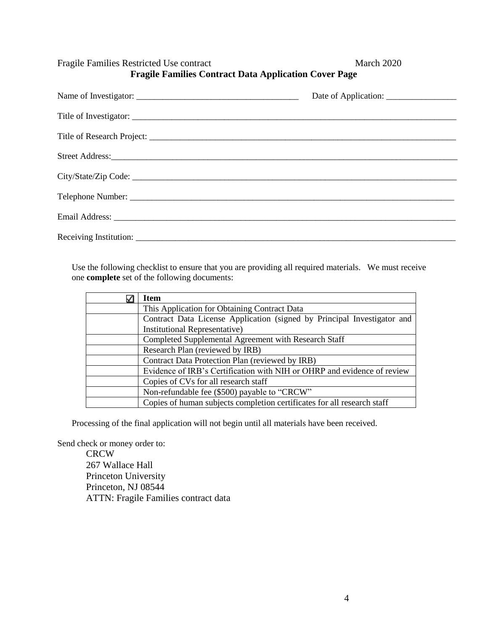Fragile Families Restricted Use contract March 2020 **Fragile Families Contract Data Application Cover Page**

Use the following checklist to ensure that you are providing all required materials. We must receive one **complete** set of the following documents:

| <b>Item</b>                                                             |
|-------------------------------------------------------------------------|
| This Application for Obtaining Contract Data                            |
| Contract Data License Application (signed by Principal Investigator and |
| Institutional Representative)                                           |
| Completed Supplemental Agreement with Research Staff                    |
| Research Plan (reviewed by IRB)                                         |
| Contract Data Protection Plan (reviewed by IRB)                         |
| Evidence of IRB's Certification with NIH or OHRP and evidence of review |
| Copies of CVs for all research staff                                    |
| Non-refundable fee (\$500) payable to "CRCW"                            |
| Copies of human subjects completion certificates for all research staff |

Processing of the final application will not begin until all materials have been received.

Send check or money order to:

**CRCW** 267 Wallace Hall Princeton University Princeton, NJ 08544 ATTN: Fragile Families contract data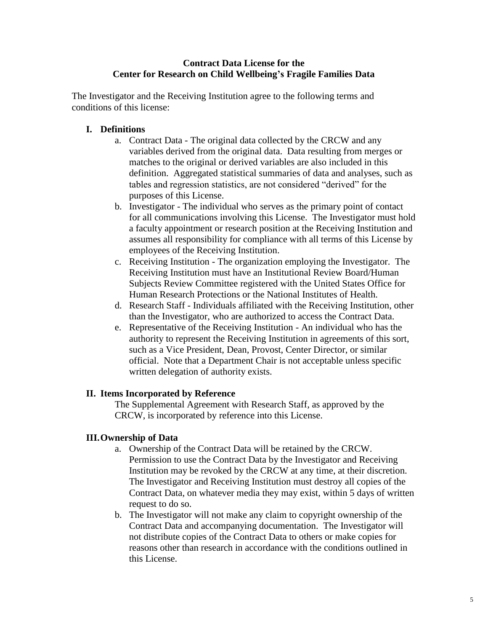## **Contract Data License for the Center for Research on Child Wellbeing's Fragile Families Data**

The Investigator and the Receiving Institution agree to the following terms and conditions of this license:

## **I. Definitions**

- a. Contract Data The original data collected by the CRCW and any variables derived from the original data. Data resulting from merges or matches to the original or derived variables are also included in this definition. Aggregated statistical summaries of data and analyses, such as tables and regression statistics, are not considered "derived" for the purposes of this License.
- b. Investigator The individual who serves as the primary point of contact for all communications involving this License. The Investigator must hold a faculty appointment or research position at the Receiving Institution and assumes all responsibility for compliance with all terms of this License by employees of the Receiving Institution.
- c. Receiving Institution The organization employing the Investigator. The Receiving Institution must have an Institutional Review Board/Human Subjects Review Committee registered with the United States Office for Human Research Protections or the National Institutes of Health.
- d. Research Staff Individuals affiliated with the Receiving Institution, other than the Investigator, who are authorized to access the Contract Data.
- e. Representative of the Receiving Institution An individual who has the authority to represent the Receiving Institution in agreements of this sort, such as a Vice President, Dean, Provost, Center Director, or similar official. Note that a Department Chair is not acceptable unless specific written delegation of authority exists.

#### **II. Items Incorporated by Reference**

The Supplemental Agreement with Research Staff, as approved by the CRCW, is incorporated by reference into this License.

## **III.Ownership of Data**

- a. Ownership of the Contract Data will be retained by the CRCW. Permission to use the Contract Data by the Investigator and Receiving Institution may be revoked by the CRCW at any time, at their discretion. The Investigator and Receiving Institution must destroy all copies of the Contract Data, on whatever media they may exist, within 5 days of written request to do so.
- b. The Investigator will not make any claim to copyright ownership of the Contract Data and accompanying documentation. The Investigator will not distribute copies of the Contract Data to others or make copies for reasons other than research in accordance with the conditions outlined in this License.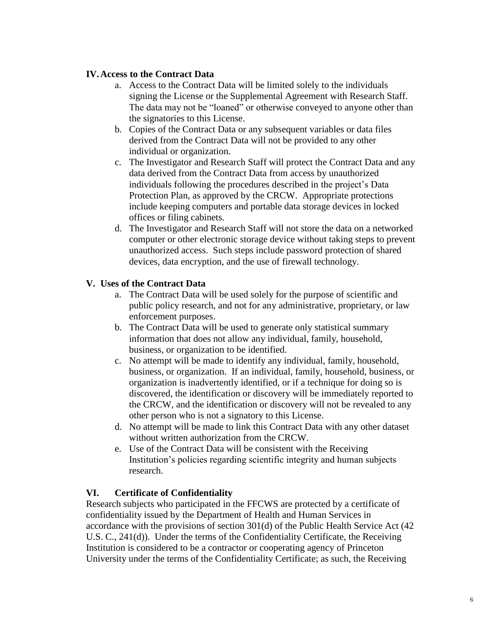## **IV.Access to the Contract Data**

- a. Access to the Contract Data will be limited solely to the individuals signing the License or the Supplemental Agreement with Research Staff. The data may not be "loaned" or otherwise conveyed to anyone other than the signatories to this License.
- b. Copies of the Contract Data or any subsequent variables or data files derived from the Contract Data will not be provided to any other individual or organization.
- c. The Investigator and Research Staff will protect the Contract Data and any data derived from the Contract Data from access by unauthorized individuals following the procedures described in the project's Data Protection Plan, as approved by the CRCW. Appropriate protections include keeping computers and portable data storage devices in locked offices or filing cabinets.
- d. The Investigator and Research Staff will not store the data on a networked computer or other electronic storage device without taking steps to prevent unauthorized access. Such steps include password protection of shared devices, data encryption, and the use of firewall technology.

## **V. Uses of the Contract Data**

- a. The Contract Data will be used solely for the purpose of scientific and public policy research, and not for any administrative, proprietary, or law enforcement purposes.
- b. The Contract Data will be used to generate only statistical summary information that does not allow any individual, family, household, business, or organization to be identified.
- c. No attempt will be made to identify any individual, family, household, business, or organization. If an individual, family, household, business, or organization is inadvertently identified, or if a technique for doing so is discovered, the identification or discovery will be immediately reported to the CRCW, and the identification or discovery will not be revealed to any other person who is not a signatory to this License.
- d. No attempt will be made to link this Contract Data with any other dataset without written authorization from the CRCW.
- e. Use of the Contract Data will be consistent with the Receiving Institution's policies regarding scientific integrity and human subjects research.

## **VI. Certificate of Confidentiality**

Research subjects who participated in the FFCWS are protected by a certificate of confidentiality issued by the Department of Health and Human Services in accordance with the provisions of section 301(d) of the Public Health Service Act (42 U.S. C., 241(d)). Under the terms of the Confidentiality Certificate, the Receiving Institution is considered to be a contractor or cooperating agency of Princeton University under the terms of the Confidentiality Certificate; as such, the Receiving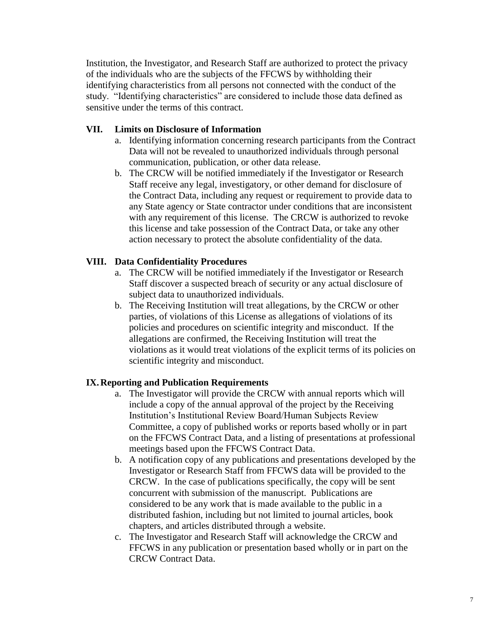Institution, the Investigator, and Research Staff are authorized to protect the privacy of the individuals who are the subjects of the FFCWS by withholding their identifying characteristics from all persons not connected with the conduct of the study. "Identifying characteristics" are considered to include those data defined as sensitive under the terms of this contract.

## **VII. Limits on Disclosure of Information**

- a. Identifying information concerning research participants from the Contract Data will not be revealed to unauthorized individuals through personal communication, publication, or other data release.
- b. The CRCW will be notified immediately if the Investigator or Research Staff receive any legal, investigatory, or other demand for disclosure of the Contract Data, including any request or requirement to provide data to any State agency or State contractor under conditions that are inconsistent with any requirement of this license. The CRCW is authorized to revoke this license and take possession of the Contract Data, or take any other action necessary to protect the absolute confidentiality of the data.

## **VIII. Data Confidentiality Procedures**

- a. The CRCW will be notified immediately if the Investigator or Research Staff discover a suspected breach of security or any actual disclosure of subject data to unauthorized individuals.
- b. The Receiving Institution will treat allegations, by the CRCW or other parties, of violations of this License as allegations of violations of its policies and procedures on scientific integrity and misconduct. If the allegations are confirmed, the Receiving Institution will treat the violations as it would treat violations of the explicit terms of its policies on scientific integrity and misconduct.

#### **IX.Reporting and Publication Requirements**

- a. The Investigator will provide the CRCW with annual reports which will include a copy of the annual approval of the project by the Receiving Institution's Institutional Review Board/Human Subjects Review Committee, a copy of published works or reports based wholly or in part on the FFCWS Contract Data, and a listing of presentations at professional meetings based upon the FFCWS Contract Data.
- b. A notification copy of any publications and presentations developed by the Investigator or Research Staff from FFCWS data will be provided to the CRCW. In the case of publications specifically, the copy will be sent concurrent with submission of the manuscript. Publications are considered to be any work that is made available to the public in a distributed fashion, including but not limited to journal articles, book chapters, and articles distributed through a website.
- c. The Investigator and Research Staff will acknowledge the CRCW and FFCWS in any publication or presentation based wholly or in part on the CRCW Contract Data.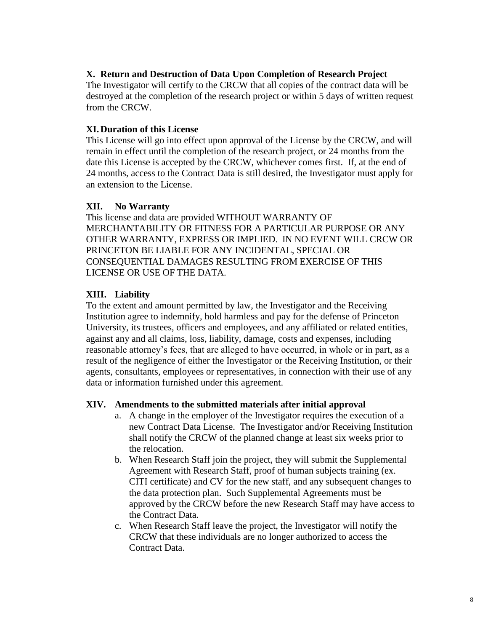## **X. Return and Destruction of Data Upon Completion of Research Project**

The Investigator will certify to the CRCW that all copies of the contract data will be destroyed at the completion of the research project or within 5 days of written request from the CRCW.

## **XI.Duration of this License**

This License will go into effect upon approval of the License by the CRCW, and will remain in effect until the completion of the research project, or 24 months from the date this License is accepted by the CRCW, whichever comes first. If, at the end of 24 months, access to the Contract Data is still desired, the Investigator must apply for an extension to the License.

## **XII. No Warranty**

This license and data are provided WITHOUT WARRANTY OF MERCHANTABILITY OR FITNESS FOR A PARTICULAR PURPOSE OR ANY OTHER WARRANTY, EXPRESS OR IMPLIED. IN NO EVENT WILL CRCW OR PRINCETON BE LIABLE FOR ANY INCIDENTAL, SPECIAL OR CONSEQUENTIAL DAMAGES RESULTING FROM EXERCISE OF THIS LICENSE OR USE OF THE DATA.

## **XIII. Liability**

To the extent and amount permitted by law, the Investigator and the Receiving Institution agree to indemnify, hold harmless and pay for the defense of Princeton University, its trustees, officers and employees, and any affiliated or related entities, against any and all claims, loss, liability, damage, costs and expenses, including reasonable attorney's fees, that are alleged to have occurred, in whole or in part, as a result of the negligence of either the Investigator or the Receiving Institution, or their agents, consultants, employees or representatives, in connection with their use of any data or information furnished under this agreement.

#### **XIV. Amendments to the submitted materials after initial approval**

- a. A change in the employer of the Investigator requires the execution of a new Contract Data License. The Investigator and/or Receiving Institution shall notify the CRCW of the planned change at least six weeks prior to the relocation.
- b. When Research Staff join the project, they will submit the Supplemental Agreement with Research Staff, proof of human subjects training (ex. CITI certificate) and CV for the new staff, and any subsequent changes to the data protection plan. Such Supplemental Agreements must be approved by the CRCW before the new Research Staff may have access to the Contract Data.
- c. When Research Staff leave the project, the Investigator will notify the CRCW that these individuals are no longer authorized to access the Contract Data.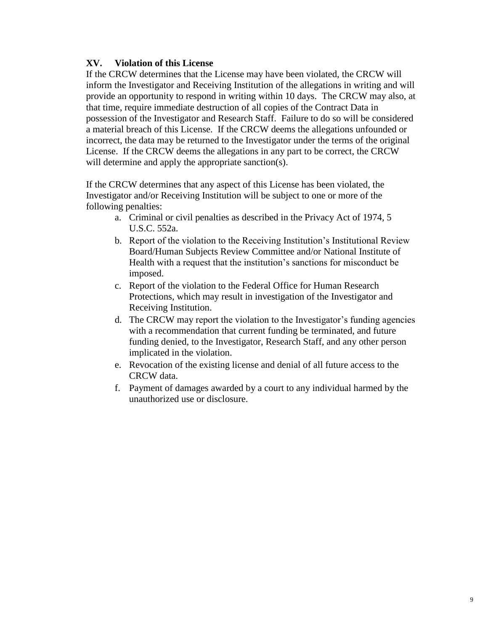## **XV. Violation of this License**

If the CRCW determines that the License may have been violated, the CRCW will inform the Investigator and Receiving Institution of the allegations in writing and will provide an opportunity to respond in writing within 10 days. The CRCW may also, at that time, require immediate destruction of all copies of the Contract Data in possession of the Investigator and Research Staff. Failure to do so will be considered a material breach of this License. If the CRCW deems the allegations unfounded or incorrect, the data may be returned to the Investigator under the terms of the original License. If the CRCW deems the allegations in any part to be correct, the CRCW will determine and apply the appropriate sanction(s).

If the CRCW determines that any aspect of this License has been violated, the Investigator and/or Receiving Institution will be subject to one or more of the following penalties:

- a. Criminal or civil penalties as described in the Privacy Act of 1974, 5 U.S.C. 552a.
- b. Report of the violation to the Receiving Institution's Institutional Review Board/Human Subjects Review Committee and/or National Institute of Health with a request that the institution's sanctions for misconduct be imposed.
- c. Report of the violation to the Federal Office for Human Research Protections, which may result in investigation of the Investigator and Receiving Institution.
- d. The CRCW may report the violation to the Investigator's funding agencies with a recommendation that current funding be terminated, and future funding denied, to the Investigator, Research Staff, and any other person implicated in the violation.
- e. Revocation of the existing license and denial of all future access to the CRCW data.
- f. Payment of damages awarded by a court to any individual harmed by the unauthorized use or disclosure.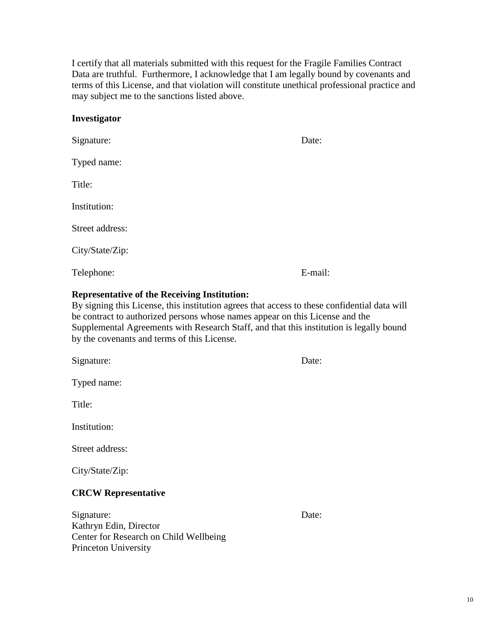10

I certify that all materials submitted with this request for the Fragile Families Contract Data are truthful. Furthermore, I acknowledge that I am legally bound by covenants and terms of this License, and that violation will constitute unethical professional practice and may subject me to the sanctions listed above.

#### **Investigator**

| Signature:      | Date:   |  |
|-----------------|---------|--|
| Typed name:     |         |  |
| Title:          |         |  |
| Institution:    |         |  |
| Street address: |         |  |
| City/State/Zip: |         |  |
| Telephone:      | E-mail: |  |

#### **Representative of the Receiving Institution:**

By signing this License, this institution agrees that access to these confidential data will be contract to authorized persons whose names appear on this License and the Supplemental Agreements with Research Staff, and that this institution is legally bound by the covenants and terms of this License.

Signature: Date: Date:

Typed name:

Title:

Institution:

Street address:

City/State/Zip:

#### **CRCW Representative**

Signature: Date: Kathryn Edin, Director Center for Research on Child Wellbeing Princeton University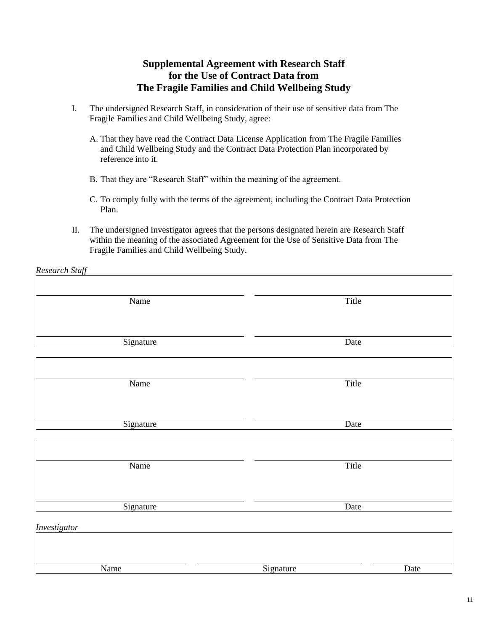# **Supplemental Agreement with Research Staff for the Use of Contract Data from The Fragile Families and Child Wellbeing Study**

- I. The undersigned Research Staff, in consideration of their use of sensitive data from The Fragile Families and Child Wellbeing Study, agree:
	- A. That they have read the Contract Data License Application from The Fragile Families and Child Wellbeing Study and the Contract Data Protection Plan incorporated by reference into it.
	- B. That they are "Research Staff" within the meaning of the agreement.

*Research Staff*

- C. To comply fully with the terms of the agreement, including the Contract Data Protection Plan.
- II. The undersigned Investigator agrees that the persons designated herein are Research Staff within the meaning of the associated Agreement for the Use of Sensitive Data from The Fragile Families and Child Wellbeing Study.

| . . <i>. .</i>      |           |      |
|---------------------|-----------|------|
|                     |           |      |
| Name                | Title     |      |
|                     |           |      |
|                     | Date      |      |
| Signature           |           |      |
|                     |           |      |
| Name                | Title     |      |
|                     |           |      |
|                     |           |      |
| Signature           | Date      |      |
|                     |           |      |
|                     |           |      |
| Name                | Title     |      |
|                     |           |      |
|                     |           |      |
| Signature           | Date      |      |
| <i>Investigator</i> |           |      |
|                     |           |      |
|                     |           |      |
| Name                | Signature | Date |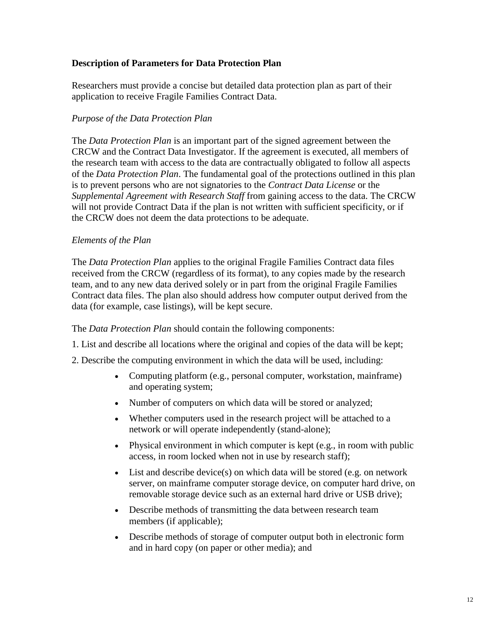## **Description of Parameters for Data Protection Plan**

Researchers must provide a concise but detailed data protection plan as part of their application to receive Fragile Families Contract Data.

## *Purpose of the Data Protection Plan*

The *Data Protection Plan* is an important part of the signed agreement between the CRCW and the Contract Data Investigator. If the agreement is executed, all members of the research team with access to the data are contractually obligated to follow all aspects of the *Data Protection Plan*. The fundamental goal of the protections outlined in this plan is to prevent persons who are not signatories to the *Contract Data License* or the *Supplemental Agreement with Research Staff* from gaining access to the data. The CRCW will not provide Contract Data if the plan is not written with sufficient specificity, or if the CRCW does not deem the data protections to be adequate.

## *Elements of the Plan*

The *Data Protection Plan* applies to the original Fragile Families Contract data files received from the CRCW (regardless of its format), to any copies made by the research team, and to any new data derived solely or in part from the original Fragile Families Contract data files. The plan also should address how computer output derived from the data (for example, case listings), will be kept secure.

The *Data Protection Plan* should contain the following components:

- 1. List and describe all locations where the original and copies of the data will be kept;
- 2. Describe the computing environment in which the data will be used, including:
	- Computing platform (e.g., personal computer, workstation, mainframe) and operating system;
	- Number of computers on which data will be stored or analyzed;
	- Whether computers used in the research project will be attached to a network or will operate independently (stand-alone);
	- Physical environment in which computer is kept (e.g., in room with public access, in room locked when not in use by research staff);
	- List and describe device(s) on which data will be stored (e.g. on network server, on mainframe computer storage device, on computer hard drive, on removable storage device such as an external hard drive or USB drive);
	- Describe methods of transmitting the data between research team members (if applicable);
	- Describe methods of storage of computer output both in electronic form and in hard copy (on paper or other media); and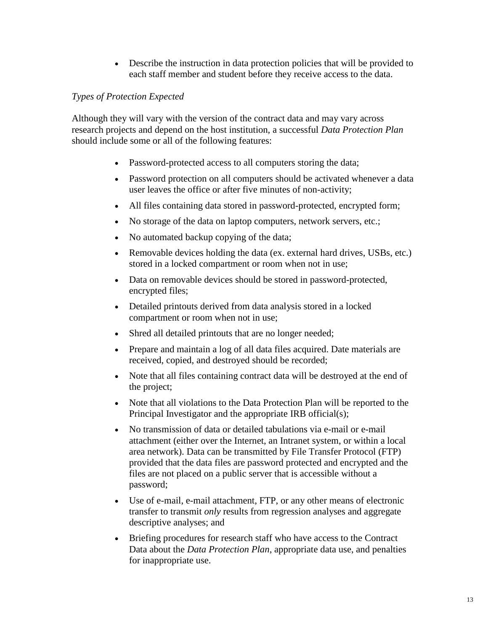• Describe the instruction in data protection policies that will be provided to each staff member and student before they receive access to the data.

## *Types of Protection Expected*

Although they will vary with the version of the contract data and may vary across research projects and depend on the host institution, a successful *Data Protection Plan* should include some or all of the following features:

- Password-protected access to all computers storing the data;
- Password protection on all computers should be activated whenever a data user leaves the office or after five minutes of non-activity;
- All files containing data stored in password-protected, encrypted form;
- No storage of the data on laptop computers, network servers, etc.;
- No automated backup copying of the data;
- Removable devices holding the data (ex. external hard drives, USBs, etc.) stored in a locked compartment or room when not in use;
- Data on removable devices should be stored in password-protected, encrypted files;
- Detailed printouts derived from data analysis stored in a locked compartment or room when not in use;
- Shred all detailed printouts that are no longer needed;
- Prepare and maintain a log of all data files acquired. Date materials are received, copied, and destroyed should be recorded;
- Note that all files containing contract data will be destroyed at the end of the project;
- Note that all violations to the Data Protection Plan will be reported to the Principal Investigator and the appropriate IRB official(s);
- No transmission of data or detailed tabulations via e-mail or e-mail attachment (either over the Internet, an Intranet system, or within a local area network). Data can be transmitted by File Transfer Protocol (FTP) provided that the data files are password protected and encrypted and the files are not placed on a public server that is accessible without a password;
- Use of e-mail, e-mail attachment, FTP, or any other means of electronic transfer to transmit *only* results from regression analyses and aggregate descriptive analyses; and
- Briefing procedures for research staff who have access to the Contract Data about the *Data Protection Plan*, appropriate data use, and penalties for inappropriate use.